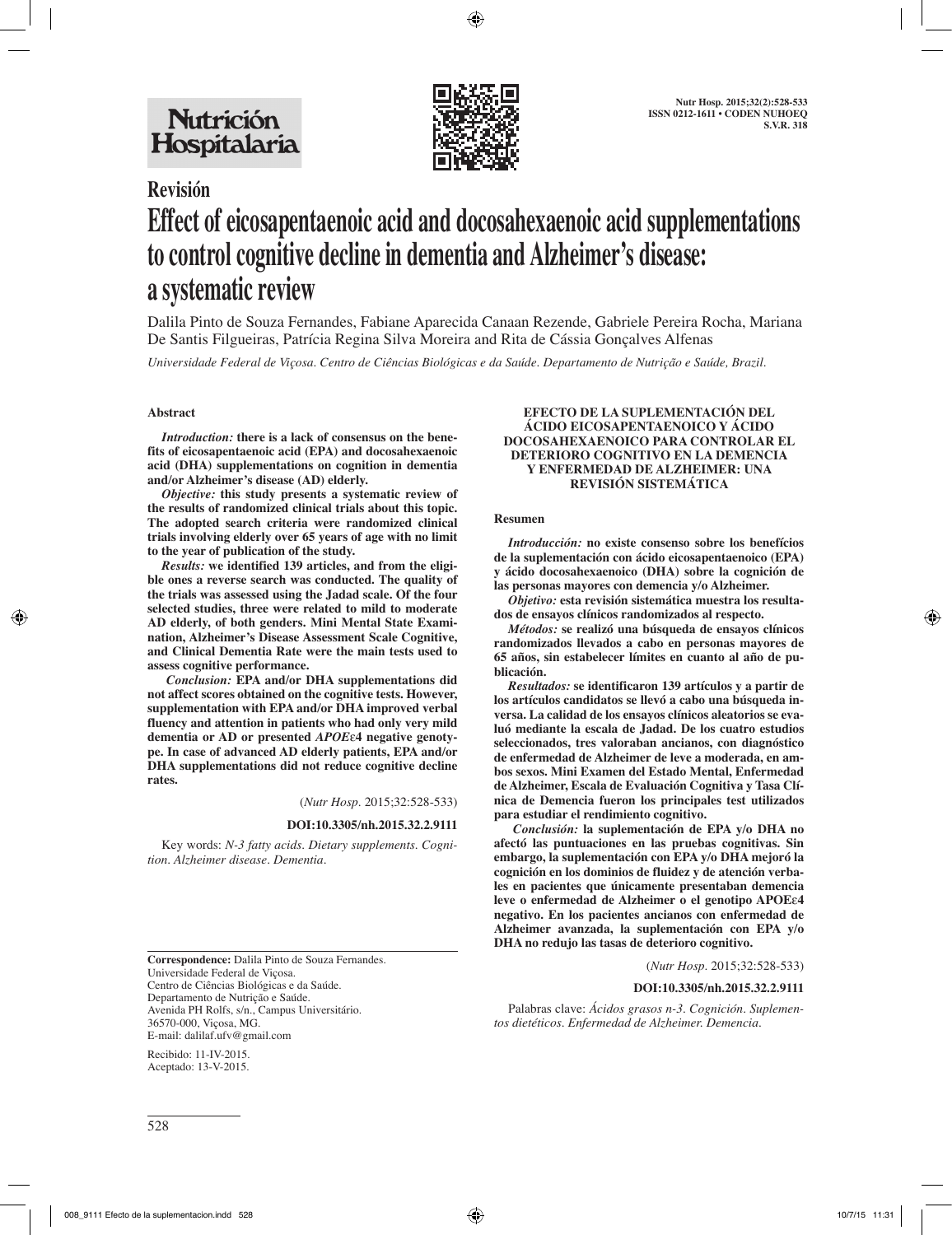

## **Revisión**

# **Effect of eicosapentaenoic acid and docosahexaenoic acid supplementations to control cognitive decline in dementia and Alzheimer's disease: a systematic review**

Dalila Pinto de Souza Fernandes, Fabiane Aparecida Canaan Rezende, Gabriele Pereira Rocha, Mariana De Santis Filgueiras, Patrícia Regina Silva Moreira and Rita de Cássia Gonçalves Alfenas

*Universidade Federal de Viçosa. Centro de Ciências Biológicas e da Saúde. Departamento de Nutrição e Saúde, Brazil.*

### **Abstract**

*Introduction:* **there is a lack of consensus on the benefits of eicosapentaenoic acid (EPA) and docosahexaenoic acid (DHA) supplementations on cognition in dementia and/or Alzheimer's disease (AD) elderly.** 

*Objective:* **this study presents a systematic review of the results of randomized clinical trials about this topic. The adopted search criteria were randomized clinical trials involving elderly over 65 years of age with no limit to the year of publication of the study.** 

*Results:* **we identified 139 articles, and from the eligible ones a reverse search was conducted. The quality of the trials was assessed using the Jadad scale. Of the four selected studies, three were related to mild to moderate AD elderly, of both genders. Mini Mental State Examination, Alzheimer's Disease Assessment Scale Cognitive, and Clinical Dementia Rate were the main tests used to assess cognitive performance.**

 *Conclusion:* **EPA and/or DHA supplementations did not affect scores obtained on the cognitive tests. However, supplementation with EPA and/or DHA improved verbal fluency and attention in patients who had only very mild dementia or AD or presented** *APOE*ε**4 negative genotype. In case of advanced AD elderly patients, EPA and/or DHA supplementations did not reduce cognitive decline rates.**

(*Nutr Hosp.* 2015;32:528-533)

#### **DOI:10.3305/nh.2015.32.2.9111**

Key words: *N-3 fatty acids. Dietary supplements. Cognition. Alzheimer disease. Dementia.*

**Correspondence:** Dalila Pinto de Souza Fernandes. Universidade Federal de Viçosa. Centro de Ciências Biológicas e da Saúde. Departamento de Nutrição e Saúde. Avenida PH Rolfs, s/n., Campus Universitário. 36570-000, Viçosa, MG. E-mail: dalilaf.ufv@gmail.com

Recibido: 11-IV-2015. Aceptado: 13-V-2015.

#### **EFECTO DE LA SUPLEMENTACIÓN DEL ÁCIDO EICOSAPENTAENOICO Y ÁCIDO DOCOSAHEXAENOICO PARA CONTROLAR EL DETERIORO COGNITIVO EN LA DEMENCIA Y ENFERMEDAD DE ALZHEIMER: UNA REVISIÓN SISTEMÁTICA**

#### **Resumen**

*Introducción:* **no existe consenso sobre los benefícios de la suplementación con ácido eicosapentaenoico (EPA) y ácido docosahexaenoico (DHA) sobre la cognición de las personas mayores con demencia y/o Alzheimer.** 

*Objetivo:* **esta revisión sistemática muestra los resultados de ensayos clínicos randomizados al respecto.** 

*Métodos:* **se realizó una búsqueda de ensayos clínicos randomizados llevados a cabo en personas mayores de 65 años, sin estabelecer límites en cuanto al año de publicación.** 

*Resultados:* **se identificaron 139 artículos y a partir de los artículos candidatos se llevó a cabo una búsqueda inversa. La calidad de los ensayos clínicos aleatorios se evaluó mediante la escala de Jadad. De los cuatro estudios seleccionados, tres valoraban ancianos, con diagnóstico de enfermedad de Alzheimer de leve a moderada, en ambos sexos. Mini Examen del Estado Mental, Enfermedad de Alzheimer, Escala de Evaluación Cognitiva y Tasa Clínica de Demencia fueron los principales test utilizados para estudiar el rendimiento cognitivo.**

 *Conclusión:* **la suplementación de EPA y/o DHA no afectó las puntuaciones en las pruebas cognitivas. Sin embargo, la suplementación con EPA y/o DHA mejoró la cognición en los dominios de fluidez y de atención verbales en pacientes que únicamente presentaban demencia leve o enfermedad de Alzheimer o el genotipo APOE**ε**4 negativo. En los pacientes ancianos con enfermedad de Alzheimer avanzada, la suplementación con EPA y/o DHA no redujo las tasas de deterioro cognitivo.**

(*Nutr Hosp.* 2015;32:528-533)

**DOI:10.3305/nh.2015.32.2.9111**

Palabras clave: *Ácidos grasos n-3. Cognición. Suplementos dietéticos. Enfermedad de Alzheimer. Demencia.*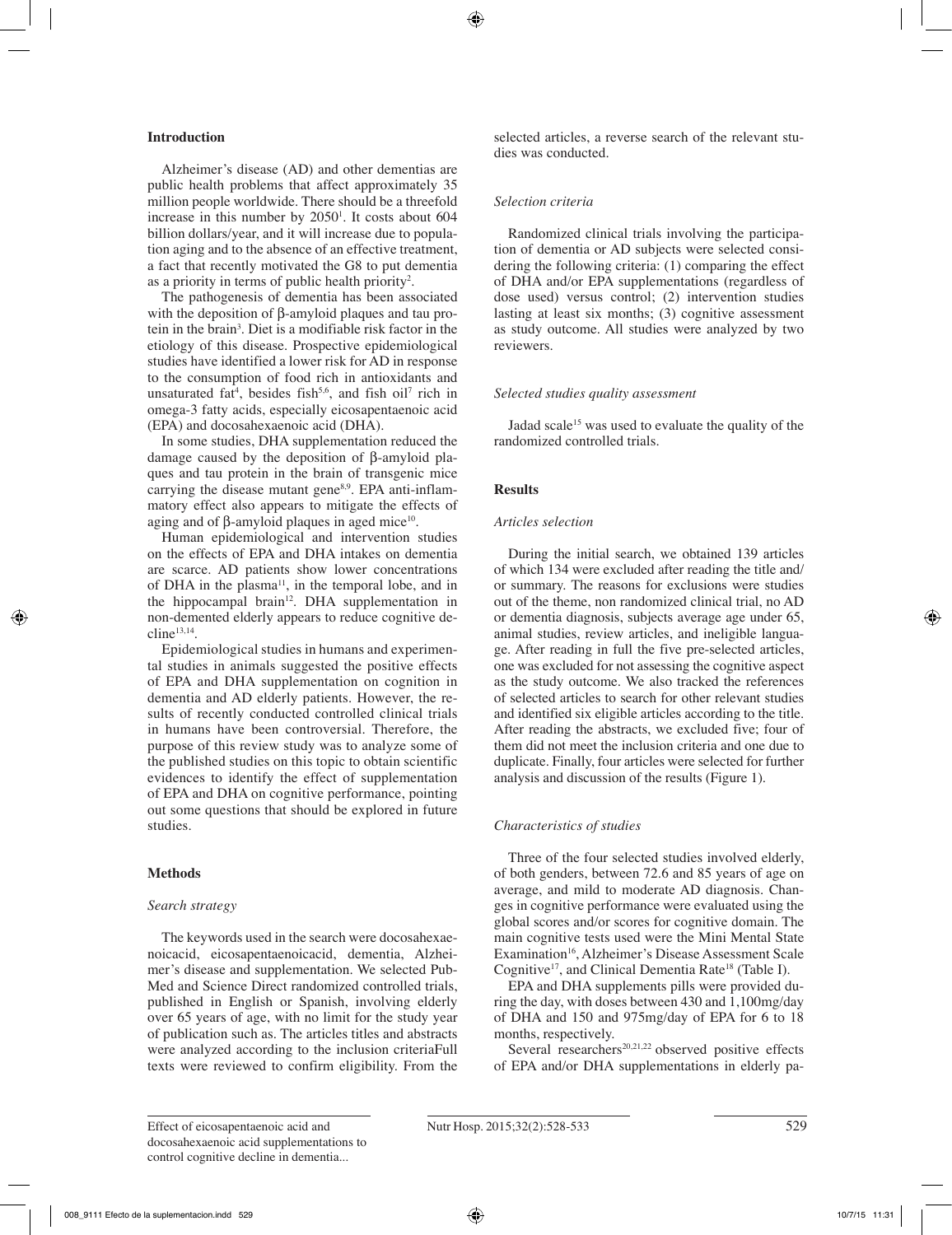#### **Introduction**

Alzheimer's disease (AD) and other dementias are public health problems that affect approximately 35 million people worldwide. There should be a threefold increase in this number by  $2050<sup>1</sup>$ . It costs about 604 billion dollars/year, and it will increase due to population aging and to the absence of an effective treatment, a fact that recently motivated the G8 to put dementia as a priority in terms of public health priority<sup>2</sup>.

The pathogenesis of dementia has been associated with the deposition of β-amyloid plaques and tau protein in the brain3 . Diet is a modifiable risk factor in the etiology of this disease. Prospective epidemiological studies have identified a lower risk for AD in response to the consumption of food rich in antioxidants and unsaturated fat<sup>4</sup>, besides fish<sup>5,6</sup>, and fish oil<sup>7</sup> rich in omega-3 fatty acids, especially eicosapentaenoic acid (EPA) and docosahexaenoic acid (DHA).

In some studies, DHA supplementation reduced the damage caused by the deposition of β-amyloid plaques and tau protein in the brain of transgenic mice carrying the disease mutant gene<sup>8,9</sup>. EPA anti-inflammatory effect also appears to mitigate the effects of aging and of β-amyloid plaques in aged mice<sup>10</sup>.

Human epidemiological and intervention studies on the effects of EPA and DHA intakes on dementia are scarce. AD patients show lower concentrations of DHA in the plasma<sup>11</sup>, in the temporal lobe, and in the hippocampal brain<sup>12</sup>. DHA supplementation in non-demented elderly appears to reduce cognitive de $cline<sup>13,14</sup>.$ 

Epidemiological studies in humans and experimental studies in animals suggested the positive effects of EPA and DHA supplementation on cognition in dementia and AD elderly patients. However, the results of recently conducted controlled clinical trials in humans have been controversial. Therefore, the purpose of this review study was to analyze some of the published studies on this topic to obtain scientific evidences to identify the effect of supplementation of EPA and DHA on cognitive performance, pointing out some questions that should be explored in future studies.

#### **Methods**

#### *Search strategy*

The keywords used in the search were docosahexaenoicacid, eicosapentaenoicacid, dementia, Alzheimer's disease and supplementation. We selected Pub-Med and Science Direct randomized controlled trials, published in English or Spanish, involving elderly over 65 years of age, with no limit for the study year of publication such as. The articles titles and abstracts were analyzed according to the inclusion criteriaFull texts were reviewed to confirm eligibility. From the selected articles, a reverse search of the relevant studies was conducted.

#### *Selection criteria*

Randomized clinical trials involving the participation of dementia or AD subjects were selected considering the following criteria: (1) comparing the effect of DHA and/or EPA supplementations (regardless of dose used) versus control; (2) intervention studies lasting at least six months; (3) cognitive assessment as study outcome. All studies were analyzed by two reviewers.

#### *Selected studies quality assessment*

Jadad scale<sup>15</sup> was used to evaluate the quality of the randomized controlled trials.

#### **Results**

#### *Articles selection*

During the initial search, we obtained 139 articles of which 134 were excluded after reading the title and/ or summary. The reasons for exclusions were studies out of the theme, non randomized clinical trial, no AD or dementia diagnosis, subjects average age under 65, animal studies, review articles, and ineligible language. After reading in full the five pre-selected articles, one was excluded for not assessing the cognitive aspect as the study outcome. We also tracked the references of selected articles to search for other relevant studies and identified six eligible articles according to the title. After reading the abstracts, we excluded five; four of them did not meet the inclusion criteria and one due to duplicate. Finally, four articles were selected for further analysis and discussion of the results (Figure 1).

#### *Characteristics of studies*

Three of the four selected studies involved elderly, of both genders, between 72.6 and 85 years of age on average, and mild to moderate AD diagnosis. Changes in cognitive performance were evaluated using the global scores and/or scores for cognitive domain. The main cognitive tests used were the Mini Mental State Examination<sup>16</sup>, Alzheimer's Disease Assessment Scale Cognitive<sup>17</sup>, and Clinical Dementia Rate<sup>18</sup> (Table I).

EPA and DHA supplements pills were provided during the day, with doses between 430 and 1,100mg/day of DHA and 150 and 975mg/day of EPA for 6 to 18 months, respectively.

Several researchers<sup>20,21,22</sup> observed positive effects of EPA and/or DHA supplementations in elderly pa-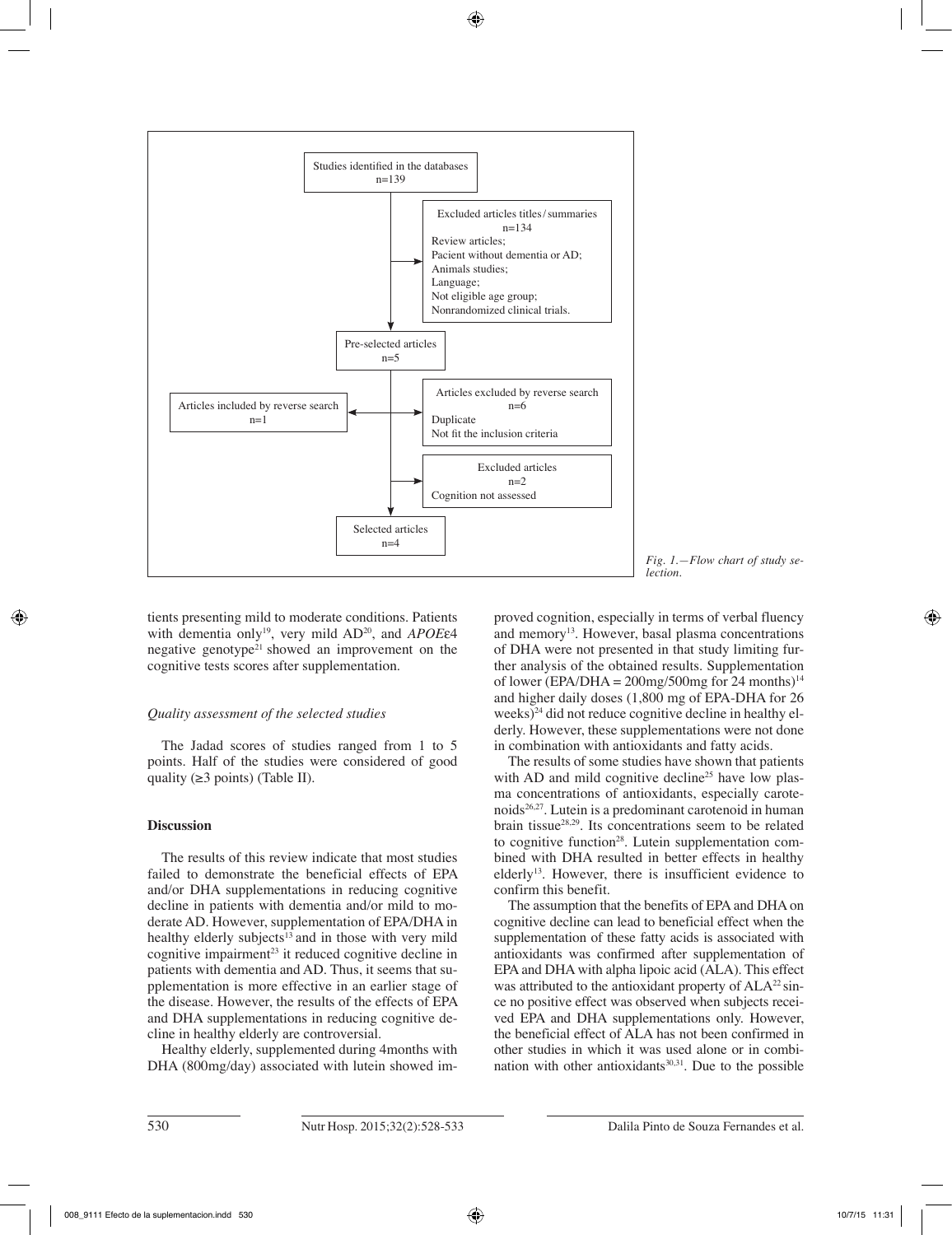

*Fig. 1.—Flow chart of study selection.*

tients presenting mild to moderate conditions. Patients with dementia only19, very mild AD20, and *APOE*ε4 negative genotype<sup>21</sup> showed an improvement on the cognitive tests scores after supplementation.

#### *Quality assessment of the selected studies*

The Jadad scores of studies ranged from 1 to 5 points. Half of the studies were considered of good quality  $(\geq 3 \text{ points})$  (Table II).

#### **Discussion**

The results of this review indicate that most studies failed to demonstrate the beneficial effects of EPA and/or DHA supplementations in reducing cognitive decline in patients with dementia and/or mild to moderate AD. However, supplementation of EPA/DHA in healthy elderly subjects $^{13}$  and in those with very mild cognitive impairment<sup>23</sup> it reduced cognitive decline in patients with dementia and AD. Thus, it seems that supplementation is more effective in an earlier stage of the disease. However, the results of the effects of EPA and DHA supplementations in reducing cognitive decline in healthy elderly are controversial.

Healthy elderly, supplemented during 4months with DHA (800mg/day) associated with lutein showed improved cognition, especially in terms of verbal fluency and memory<sup>13</sup>. However, basal plasma concentrations of DHA were not presented in that study limiting further analysis of the obtained results. Supplementation of lower (EPA/DHA =  $200$ mg/500mg for 24 months)<sup>14</sup> and higher daily doses (1,800 mg of EPA-DHA for 26 weeks) $^{24}$  did not reduce cognitive decline in healthy elderly. However, these supplementations were not done in combination with antioxidants and fatty acids.

The results of some studies have shown that patients with AD and mild cognitive decline<sup>25</sup> have low plasma concentrations of antioxidants, especially carotenoids26,27. Lutein is a predominant carotenoid in human brain tissue28,29. Its concentrations seem to be related to cognitive function<sup>28</sup>. Lutein supplementation combined with DHA resulted in better effects in healthy elderly<sup>13</sup>. However, there is insufficient evidence to confirm this benefit.

The assumption that the benefits of EPA and DHA on cognitive decline can lead to beneficial effect when the supplementation of these fatty acids is associated with antioxidants was confirmed after supplementation of EPA and DHA with alpha lipoic acid (ALA). This effect was attributed to the antioxidant property of  $ALA^{22} \sin$ ce no positive effect was observed when subjects received EPA and DHA supplementations only. However, the beneficial effect of ALA has not been confirmed in other studies in which it was used alone or in combination with other antioxidants $30,31$ . Due to the possible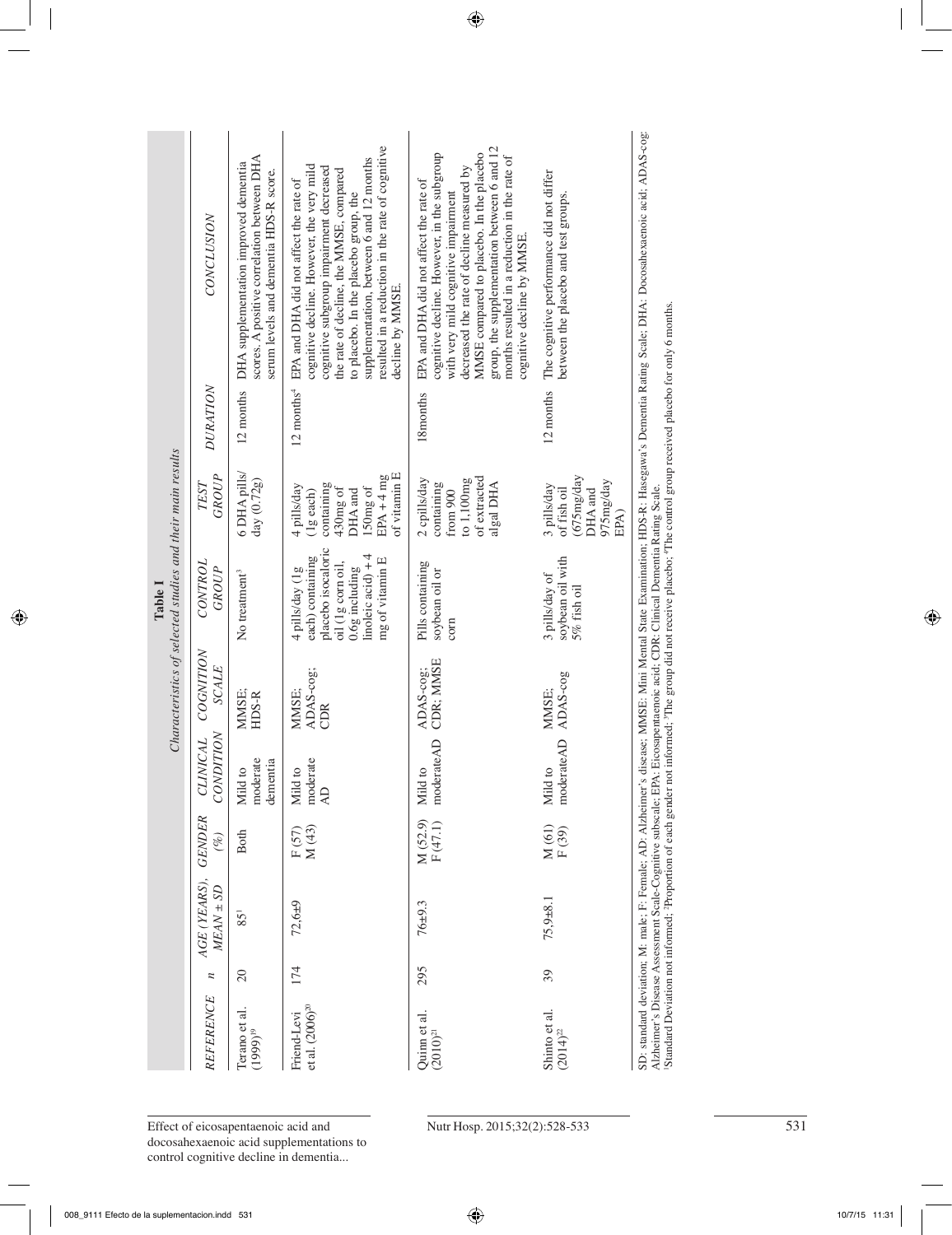| Characteristics of selected studies and their main results<br>Table 1 | CONCLUSION                    | scores. A positive correlation between DHA<br>DHA supplementation improved dementia<br>serum levels and dementia HDS-R score. | resulted in a reduction in the rate of cognitive<br>supplementation, between 6 and 12 months<br>cognitive decline. However, the very mild<br>cognitive subgroup impairment decreased<br>the rate of decline, the MMSE, compared<br>EPA and DHA did not affect the rate of<br>to placebo. In the placebo group, the<br>decline by MMSE | group, the supplementation between 6 and 12<br>MMSE compared to placebo. In the placebo<br>cognitive decline. However, in the subgroup<br>months resulted in a reduction in the rate of<br>decreased the rate of decline measured by<br>EPA and DHA did not affect the rate of<br>with very mild cognitive impairment<br>cognitive decline by MMSE. | The cognitive performance did not differ<br>between the placebo and test groups. |
|-----------------------------------------------------------------------|-------------------------------|-------------------------------------------------------------------------------------------------------------------------------|---------------------------------------------------------------------------------------------------------------------------------------------------------------------------------------------------------------------------------------------------------------------------------------------------------------------------------------|-----------------------------------------------------------------------------------------------------------------------------------------------------------------------------------------------------------------------------------------------------------------------------------------------------------------------------------------------------|----------------------------------------------------------------------------------|
|                                                                       | <b>DURATION</b>               | 12 months                                                                                                                     | $12$ months <sup>4</sup>                                                                                                                                                                                                                                                                                                              | 18months                                                                                                                                                                                                                                                                                                                                            | 12 months                                                                        |
|                                                                       | GROUP<br>TEST                 | 6 DHA pills/<br>day (0.72g)                                                                                                   | of vitamin E<br>$EPA + 4 mg$<br>containing<br>4 pills/day<br>430mg of<br>150mg of<br>DHA and<br>$(1g$ each)                                                                                                                                                                                                                           | of extracted<br>2 cpills/day<br>to 1,100mg<br>containing<br>algal DHA<br>from $900$                                                                                                                                                                                                                                                                 | (675mg/day<br>975mg/day<br>3 pills/day<br>DHA and<br>of fish oil<br>EPA)         |
|                                                                       | CONTROL<br>GROUP              | No treatment <sup>3</sup>                                                                                                     | placebo isocaloric<br>linoleic acid) $+4$<br>each) containing<br>mg of vitamin E<br>oil (1g corn oil,<br>0.6g including<br>4 pills/day (1g                                                                                                                                                                                            | Pills containing<br>soybean oil or<br>$_{\rm com}$                                                                                                                                                                                                                                                                                                  | soybean oil with<br>3 pills/day of<br>5% fish oil                                |
|                                                                       | COGNITION<br><b>SCALE</b>     | MMSE;<br>HDS-R                                                                                                                | ADAS-cog;<br>MMSE:<br>CDR                                                                                                                                                                                                                                                                                                             | CDR; MMSE<br>ADAS-cog;                                                                                                                                                                                                                                                                                                                              | ADAS-cog<br>MMSE:                                                                |
|                                                                       | CONDITION<br><b>CLINICAL</b>  | moderate<br>dementia<br>Mild to                                                                                               | moderate<br>Mild to<br>$\overline{A}$                                                                                                                                                                                                                                                                                                 | moderateAD<br>Mild to                                                                                                                                                                                                                                                                                                                               | moderateAD<br>Mild to                                                            |
|                                                                       | <b>GENDER</b><br>(%)          | <b>Both</b>                                                                                                                   | M(43)<br>F(57)                                                                                                                                                                                                                                                                                                                        | M (52.9)<br>F (47.1)                                                                                                                                                                                                                                                                                                                                | M (61)<br>F (39)                                                                 |
|                                                                       | AGE (YEARS),<br>$MEAN \pm SD$ | $85^{1}$                                                                                                                      | $72,6+9$                                                                                                                                                                                                                                                                                                                              | $76 + 9.3$                                                                                                                                                                                                                                                                                                                                          | $75,9 + 8.1$                                                                     |
|                                                                       | $\boldsymbol{n}$              | $\Omega$                                                                                                                      | 174                                                                                                                                                                                                                                                                                                                                   | 295                                                                                                                                                                                                                                                                                                                                                 | 39                                                                               |
|                                                                       | REFERENCE                     | Terano et al.<br>$(1999)^{19}$                                                                                                | et al. (2006) <sup>20</sup><br>Friend-Levi                                                                                                                                                                                                                                                                                            | Quinn et al.<br>$(2010)^{21}$                                                                                                                                                                                                                                                                                                                       | Shinto et al.<br>$(2014)^{22}$                                                   |

Standard Deviation not informed; <sup>2</sup>Proportion of each gender not informed; <sup>3</sup>The group did not receive placebo; <sup>4</sup>The control group received placebo for only 6 months. 1Standard Deviation not informed; 2Proportion of each gender not informed; 3The group did not receive placebo; 4The control group received placebo for only 6 months.

Effect of eicosapentaenoic acid and Nutr Hosp. 2015;32(2):528-533 531 531 docosahexaenoic acid supplementations to<br>control cognitive decline in dementia...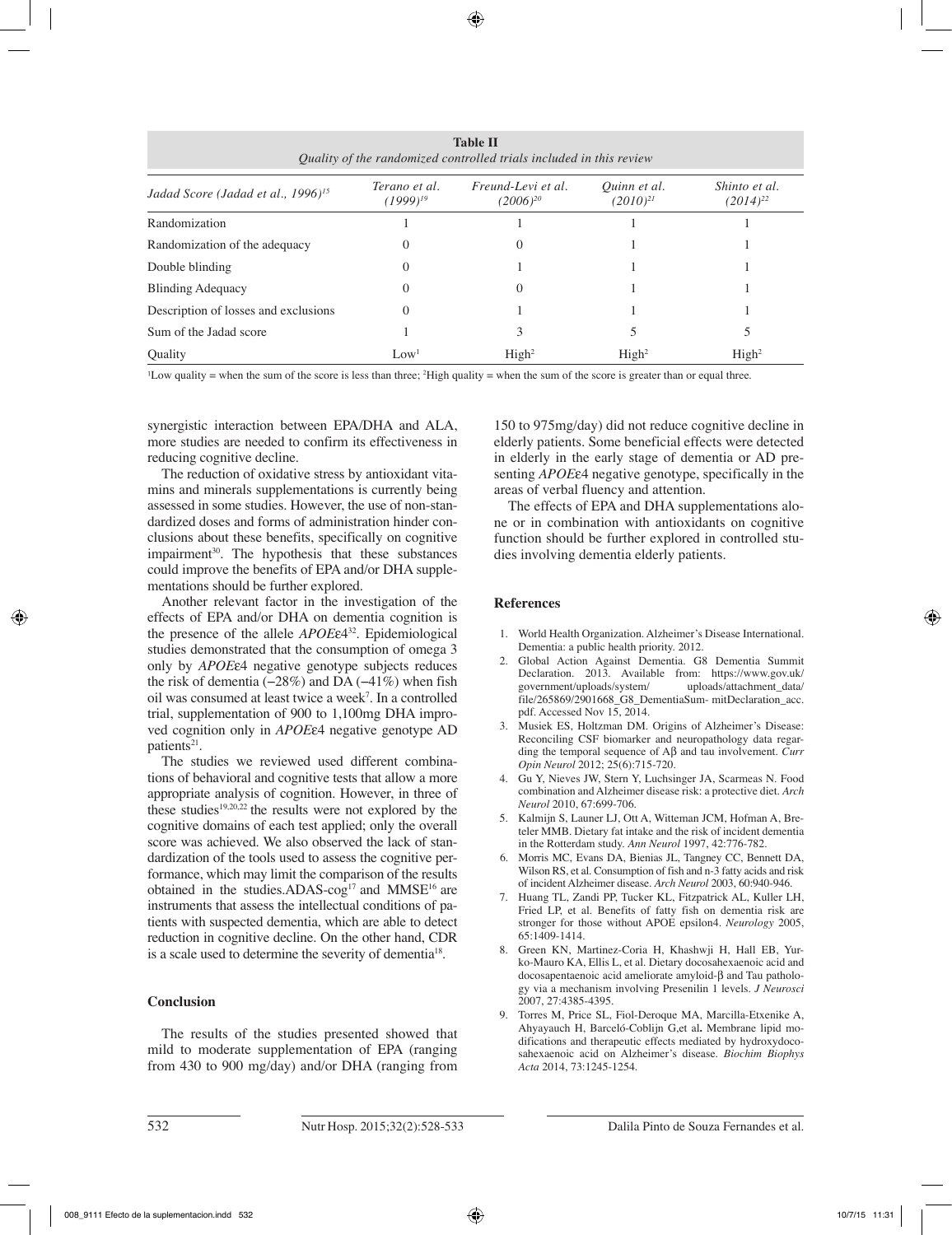| <b>Table II</b><br>Quality of the randomized controlled trials included in this review |                          |                                     |                               |                                |  |  |  |  |
|----------------------------------------------------------------------------------------|--------------------------|-------------------------------------|-------------------------------|--------------------------------|--|--|--|--|
| Jadad Score (Jadad et al., 1996) <sup>15</sup>                                         | Terano et al.<br>1999)'' | Freund-Levi et al.<br>$(2006)^{20}$ | Ouinn et al.<br>$(2010)^{21}$ | Shinto et al.<br>$(2014)^{22}$ |  |  |  |  |
| Randomization                                                                          |                          |                                     |                               |                                |  |  |  |  |
| Randomization of the adequacy                                                          | $\theta$                 | $\theta$                            |                               |                                |  |  |  |  |
| Double blinding                                                                        | $\theta$                 |                                     |                               |                                |  |  |  |  |
| <b>Blinding Adequacy</b>                                                               | $\theta$                 | $\theta$                            |                               |                                |  |  |  |  |
| Description of losses and exclusions                                                   | 0                        |                                     |                               |                                |  |  |  |  |
| Sum of the Jadad score                                                                 |                          | 3                                   |                               |                                |  |  |  |  |
| Ouality                                                                                | Low <sup>1</sup>         | High <sup>2</sup>                   | High <sup>2</sup>             | High <sup>2</sup>              |  |  |  |  |

 $\text{L}$  Low quality = when the sum of the score is less than three;  $\text{2}$  High quality = when the sum of the score is greater than or equal three.

synergistic interaction between EPA/DHA and ALA, more studies are needed to confirm its effectiveness in reducing cognitive decline.

The reduction of oxidative stress by antioxidant vitamins and minerals supplementations is currently being assessed in some studies. However, the use of non-standardized doses and forms of administration hinder conclusions about these benefits, specifically on cognitive impairment<sup>30</sup>. The hypothesis that these substances could improve the benefits of EPA and/or DHA supplementations should be further explored.

Another relevant factor in the investigation of the effects of EPA and/or DHA on dementia cognition is the presence of the allele *APOE*ε432. Epidemiological studies demonstrated that the consumption of omega 3 only by *APOE*ε4 negative genotype subjects reduces the risk of dementia  $(-28%)$  and DA  $(-41%)$  when fish oil was consumed at least twice a week7 . In a controlled trial, supplementation of 900 to 1,100mg DHA improved cognition only in *APOE*ε4 negative genotype AD patients<sup>21</sup>.

The studies we reviewed used different combinations of behavioral and cognitive tests that allow a more appropriate analysis of cognition. However, in three of these studies<sup>19,20,22</sup> the results were not explored by the cognitive domains of each test applied; only the overall score was achieved. We also observed the lack of standardization of the tools used to assess the cognitive performance, which may limit the comparison of the results obtained in the studies.ADAS-cog<sup>17</sup> and MMSE<sup>16</sup> are instruments that assess the intellectual conditions of patients with suspected dementia, which are able to detect reduction in cognitive decline. On the other hand, CDR is a scale used to determine the severity of dementia18.

#### **Conclusion**

The results of the studies presented showed that mild to moderate supplementation of EPA (ranging from 430 to 900 mg/day) and/or DHA (ranging from 150 to 975mg/day) did not reduce cognitive decline in elderly patients. Some beneficial effects were detected in elderly in the early stage of dementia or AD presenting *APOE*ε4 negative genotype, specifically in the areas of verbal fluency and attention.

The effects of EPA and DHA supplementations alone or in combination with antioxidants on cognitive function should be further explored in controlled studies involving dementia elderly patients.

#### **References**

- 1. World Health Organization. Alzheimer's Disease International. Dementia: a public health priority. 2012.
- 2. Global Action Against Dementia. G8 Dementia Summit Declaration. 2013. Available from: https://www.gov.uk/ government/uploads/system/ file/265869/2901668\_G8\_DementiaSum- mitDeclaration\_acc. pdf. Accessed Nov 15, 2014.
- 3. Musiek ES, Holtzman DM. Origins of Alzheimer's Disease: Reconciling CSF biomarker and neuropathology data regarding the temporal sequence of Aβ and tau involvement. *Curr Opin Neurol* 2012; 25(6):715-720.
- 4. Gu Y, Nieves JW, Stern Y, Luchsinger JA, Scarmeas N. Food combination and Alzheimer disease risk: a protective diet. *Arch Neurol* 2010, 67:699-706.
- 5. Kalmijn S, Launer LJ, Ott A, Witteman JCM, Hofman A, Breteler MMB. Dietary fat intake and the risk of incident dementia in the Rotterdam study. *Ann Neurol* 1997, 42:776-782.
- 6. Morris MC, Evans DA, Bienias JL, Tangney CC, Bennett DA, Wilson RS, et al. Consumption of fish and n-3 fatty acids and risk of incident Alzheimer disease. *Arch Neurol* 2003, 60:940-946.
- 7. Huang TL, Zandi PP, Tucker KL, Fitzpatrick AL, Kuller LH, Fried LP, et al. Benefits of fatty fish on dementia risk are stronger for those without APOE epsilon4. *Neurology* 2005, 65:1409-1414.
- 8. Green KN, Martinez-Coria H, Khashwji H, Hall EB, Yurko-Mauro KA, Ellis L, et al. Dietary docosahexaenoic acid and docosapentaenoic acid ameliorate amyloid-β and Tau pathology via a mechanism involving Presenilin 1 levels. *J Neurosci*  2007, 27:4385-4395.
- 9. Torres M, Price SL, Fiol-Deroque MA, Marcilla-Etxenike A, Ahyayauch H, Barceló-Coblijn G,et al**.** Membrane lipid modifications and therapeutic effects mediated by hydroxydocosahexaenoic acid on Alzheimer's disease. *Biochim Biophys Acta* 2014, 73:1245-1254.